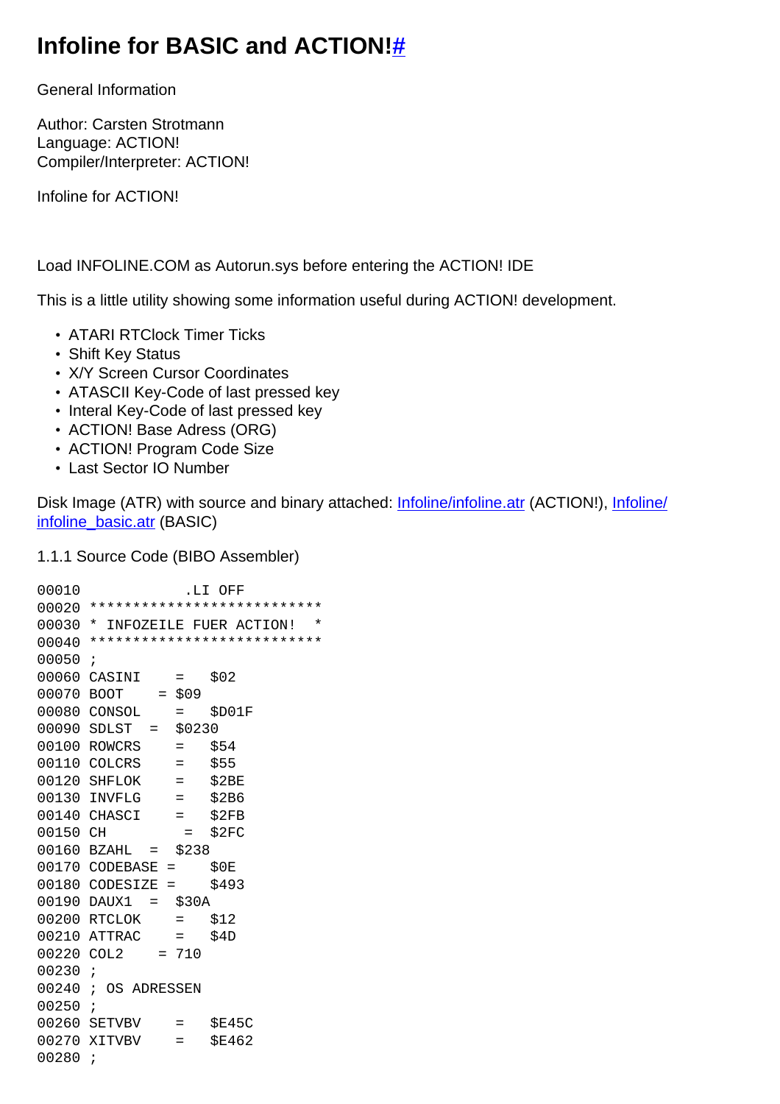## Infoline for BASIC and ACTION!#

**General Information** 

Author: Carsten Strotmann Language: ACTION! Compiler/Interpreter: ACTION!

Infoline for ACTION!

Load INFOLINE.COM as Autorun.sys before entering the ACTION! IDE

This is a little utility showing some information useful during ACTION! development.

- ATARI RTClock Timer Ticks
- Shift Key Status
- X/Y Screen Cursor Coordinates
- ATASCII Key-Code of last pressed key
- Interal Key-Code of last pressed key
- ACTION! Base Adress (ORG)
- ACTION! Program Code Size
- Last Sector IO Number

Disk Image (ATR) with source and binary attached: Infoline/infoline.atr (ACTION!), Infoline/ infoline basic.atr (BASIC)

1.1.1 Source Code (BIBO Assembler)

00010 .LI OFF 00020 \*\*\*\*\*\*\*\*\*\*\*\*\*\*\*\*\*\*\*\*\*\*\*\*\*\*\*\* 00030 \* INFOZEILE FUER ACTION! \* 00040 \*\*\*\*\*\*\*\*\*\*\*\*\*\*\*\*\*\*\*\*\*\*\*\*\*\*\*  $00050 i$ 00060 CASINI = \$02  $00070$  BOOT = \$09  $00080$  CONSOL = \$D01F<br>00090 SDLST = \$0230  $00100$  ROWCRS = \$54 00110 COLCRS  $=$  \$55 00110 COLCKS<br>
00120 SHFLOK = \$2BE<br>
00130 INVFLG = \$2BE<br>
00140 CHASCI = \$2FB<br>
00150 CH = \$2FC  $00160$  BZAHL =  $$238$  $00170$  CODEBASE =  $$0E$ <br> $00180$  CODESIZE =  $$493$  $00190$   $DAUX1 = $30A$  $00200$  RTCLOK = \$12<br> $00210$  ATTRAC = \$4D  $00220$  COL2 = 710  $00230 i$ 00240 ; OS ADRESSEN  $00250 i$ 00260 SETVBV = \$E45C 00270 XITVBV = \$E462  $00280 i$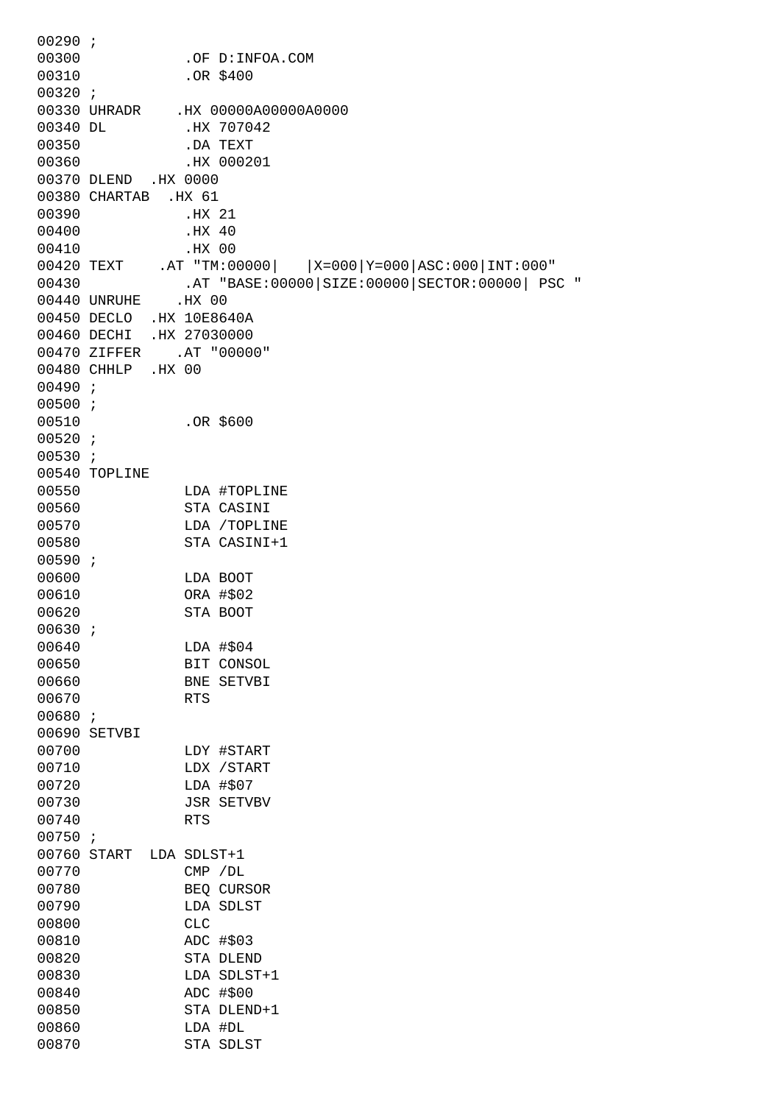00290 ; 00300 .OF D:INFOA.COM 00310 .OR \$400 00320 ; 00330 UHRADR .HX 00000A00000A0000 00340 DL .HX 707042 00350 .DA TEXT 00360 .HX 000201 00370 DLEND .HX 0000 00380 CHARTAB .HX 61 00390 .HX 21 00400 .HX 40 00410 .HX 00 00420 TEXT .AT "TM:00000| |X=000|Y=000|ASC:000|INT:000" 00430 .AT "BASE:00000|SIZE:00000|SECTOR:00000| PSC " 00440 UNRUHE .HX 00 00450 DECLO .HX 10E8640A 00460 DECHI .HX 27030000 00470 ZIFFER .AT "00000" 00480 CHHLP .HX 00 00490 ; 00500 ; 00510 .OR \$600 00520 ; 00530 ; 00540 TOPLINE 00550 LDA #TOPLINE 00560 STA CASINI 00570 LDA /TOPLINE 00580 STA CASINI+1 00590 ; 00600 LDA BOOT 00610 ORA #\$02 00620 STA BOOT 00630 ; 00640 LDA #\$04 00650 BIT CONSOL 00660 BNE SETVBI 00670 RTS 00680 ; 00690 SETVBI 00700 LDY #START 00710 LDX / START 00720 LDA #\$07 00730 JSR SETVBV 00740 RTS 00750 ; 00760 START LDA SDLST+1 00770 CMP /DL 00780 BEQ CURSOR 00790 LDA SDLST 00800 CLC 00810 ADC #\$03 00820 STA DLEND 00830 LDA SDLST+1 00840 ADC #\$00 00850 STA DLEND+1 00860 LDA #DL 00870 STA SDLST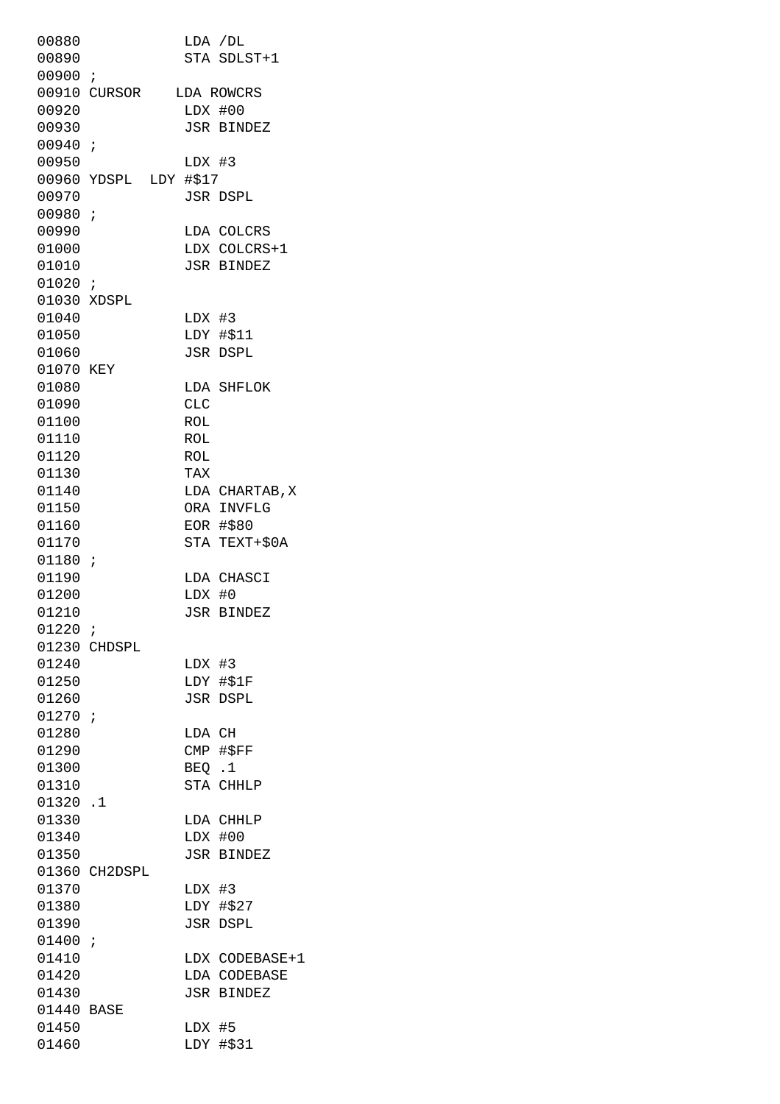00880 LDA /DL 00890 STA SDLST+1 00900 ; 00910 CURSOR LDA ROWCRS 00920 LDX #00 00930 JSR BINDEZ 00940 ; 00950 LDX #3 00960 YDSPL LDY #\$17 00970 JSR DSPL 00980 ; 00990 LDA COLCRS 01000 LDX COLCRS+1 01010 JSR BINDEZ 01020 ; 01030 XDSPL 01040 LDX #3 01050 LDY #\$11 01060 JSR DSPL 01070 KEY 01080 LDA SHFLOK 01090 CLC 01100 ROL 01110 ROL 01120 ROL 01130 TAX 01140 LDA CHARTAB, X 01150 ORA INVFLG 01160 EOR #\$80 01170 STA TEXT+\$0A 01180 ; 01190 LDA CHASCI 01200 LDX #0 01210 JSR BINDEZ 01220 ; 01230 CHDSPL 01240 LDX #3 01250 LDY #\$1F 01260 JSR DSPL 01270 ; 01280 LDA CH 01290 CMP #\$FF 01300 BEO .1 01310 STA CHHLP 01320 .1 01330 LDA CHHLP 01340 LDX #00 01350 JSR BINDEZ 01360 CH2DSPL 01370 LDX #3 01380 LDY #\$27 01390 JSR DSPL 01400 ; 01410 LDX CODEBASE+1 01420 LDA CODEBASE 01430 JSR BINDEZ 01440 BASE 01450 LDX #5 01460 LDY #\$31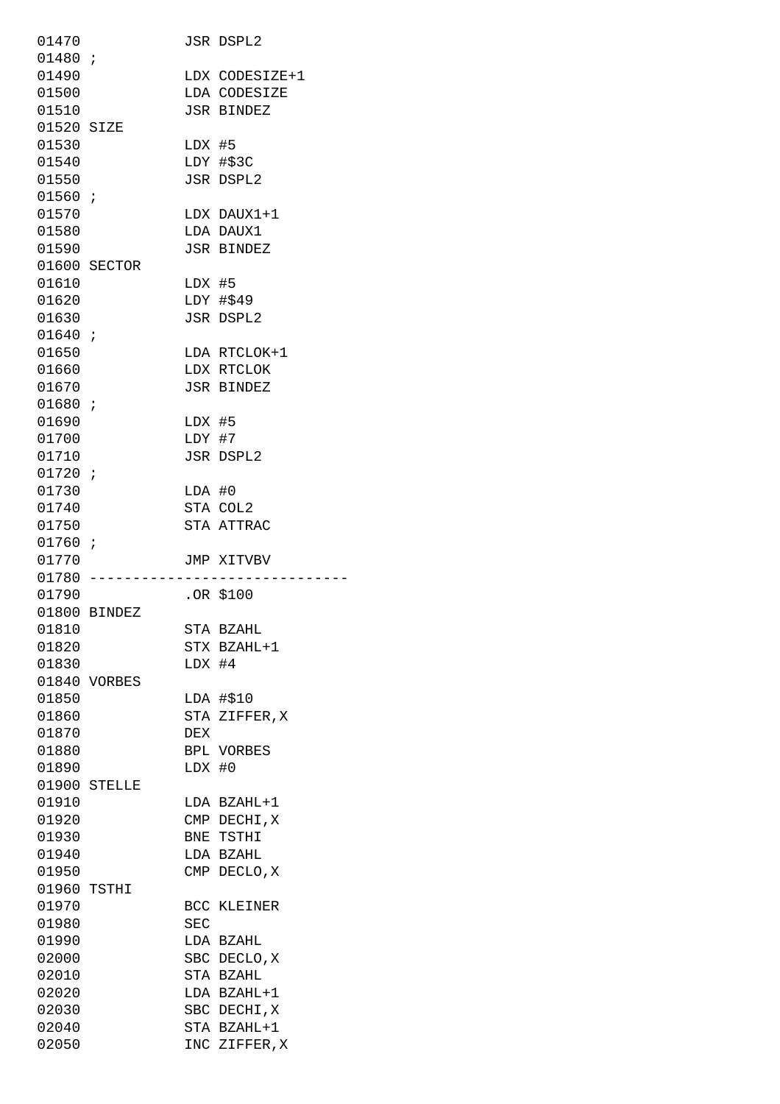| 01470      |              |          | JSR DSPL2          |
|------------|--------------|----------|--------------------|
| 01480 :    |              |          |                    |
| 01490      |              |          | LDX CODESIZE+1     |
| 01500      |              |          | LDA CODESIZE       |
| 01510      |              |          | <b>JSR BINDEZ</b>  |
| 01520 SIZE |              |          |                    |
|            |              |          |                    |
| 01530      |              | LDX #5   |                    |
| 01540      |              |          | LDY #\$3C          |
| 01550      |              |          | <b>JSR DSPL2</b>   |
| 01560 i    |              |          |                    |
| 01570      |              |          | LDX DAUX1+1        |
| 01580      |              |          | LDA DAUX1          |
| 01590      |              |          | <b>JSR BINDEZ</b>  |
|            |              |          |                    |
|            | 01600 SECTOR |          |                    |
| 01610      |              | LDX #5   |                    |
| 01620      |              |          | LDY #\$49          |
| 01630      |              |          | <b>JSR DSPL2</b>   |
| 01640i     |              |          |                    |
| 01650      |              |          | LDA RTCLOK+1       |
| 01660      |              |          | LDX RTCLOK         |
|            |              |          |                    |
| 01670      |              |          | <b>JSR BINDEZ</b>  |
| 01680:     |              |          |                    |
| 01690      |              | LDX #5   |                    |
| 01700      |              | LDY #7   |                    |
| 01710      |              |          | JSR DSPL2          |
| 01720i     |              |          |                    |
| 01730      |              | LDA #0   |                    |
| 01740      |              |          | STA COL2           |
| 01750      |              |          | STA ATTRAC         |
| 01760 i    |              |          |                    |
| 01770      |              |          |                    |
|            |              |          | JMP XITVBV         |
| $01780 -$  |              |          |                    |
| 01790      |              |          | .OR \$100          |
|            |              |          |                    |
|            | 01800 BINDEZ |          |                    |
| 01810      |              |          | STA BZAHL          |
| 01820      |              |          | STX BZAHL+1        |
| 01830      |              |          |                    |
|            |              | $LDX$ #4 |                    |
|            | 01840 VORBES |          |                    |
| 01850      |              |          | LDA #\$10          |
| 01860      |              |          | STA ZIFFER, X      |
| 01870      |              | DEX      |                    |
| 01880      |              |          | BPL VORBES         |
| 01890      |              | LDX #0   |                    |
|            | 01900 STELLE |          |                    |
|            |              |          |                    |
| 01910      |              |          | LDA BZAHL+1        |
| 01920      |              |          | CMP DECHI, X       |
| 01930      |              |          | BNE TSTHI          |
| 01940      |              |          | LDA BZAHL          |
| 01950      |              |          | CMP DECLO, X       |
|            | 01960 TSTHI  |          |                    |
| 01970      |              |          | <b>BCC KLEINER</b> |
| 01980      |              | SEC      |                    |
|            |              |          |                    |
| 01990      |              |          | LDA BZAHL          |
| 02000      |              |          | SBC DECLO, X       |
| 02010      |              |          | STA BZAHL          |
| 02020      |              |          | LDA BZAHL+1        |
| 02030      |              |          | SBC DECHI, X       |
| 02040      |              |          | STA BZAHL+1        |
| 02050      |              |          | INC ZIFFER, X      |